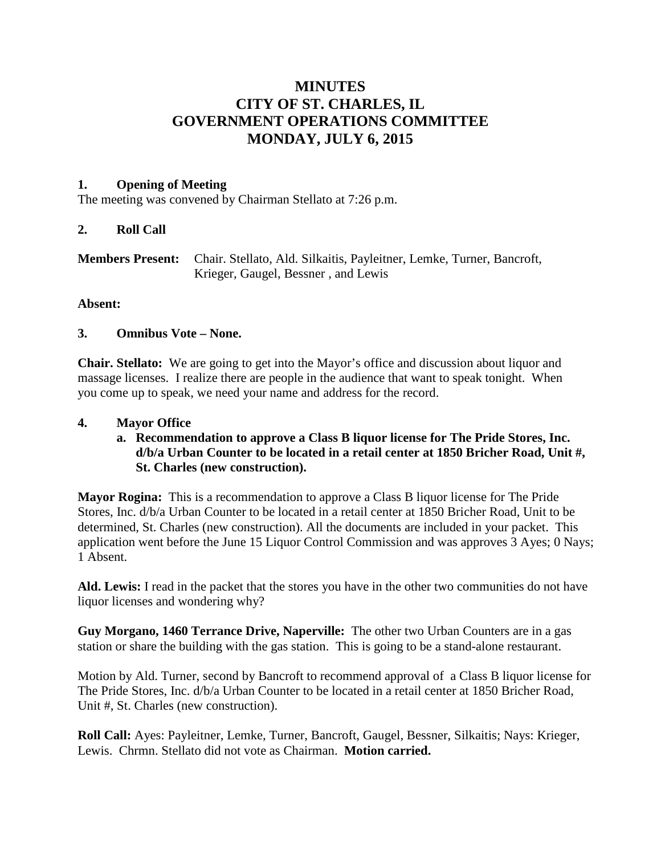# **MINUTES CITY OF ST. CHARLES, IL GOVERNMENT OPERATIONS COMMITTEE MONDAY, JULY 6, 2015**

### **1. Opening of Meeting**

The meeting was convened by Chairman Stellato at 7:26 p.m.

### **2. Roll Call**

| <b>Members Present:</b> Chair. Stellato, Ald. Silkaitis, Payleitner, Lemke, Turner, Bancroft, |
|-----------------------------------------------------------------------------------------------|
| Krieger, Gaugel, Bessner, and Lewis                                                           |

### **Absent:**

### **3. Omnibus Vote – None.**

**Chair. Stellato:** We are going to get into the Mayor's office and discussion about liquor and massage licenses. I realize there are people in the audience that want to speak tonight. When you come up to speak, we need your name and address for the record.

### **4. Mayor Office**

**a. Recommendation to approve a Class B liquor license for The Pride Stores, Inc. d/b/a Urban Counter to be located in a retail center at 1850 Bricher Road, Unit #, St. Charles (new construction).**

**Mayor Rogina:** This is a recommendation to approve a Class B liquor license for The Pride Stores, Inc. d/b/a Urban Counter to be located in a retail center at 1850 Bricher Road, Unit to be determined, St. Charles (new construction). All the documents are included in your packet. This application went before the June 15 Liquor Control Commission and was approves 3 Ayes; 0 Nays; 1 Absent.

**Ald. Lewis:** I read in the packet that the stores you have in the other two communities do not have liquor licenses and wondering why?

**Guy Morgano, 1460 Terrance Drive, Naperville:** The other two Urban Counters are in a gas station or share the building with the gas station. This is going to be a stand-alone restaurant.

Motion by Ald. Turner, second by Bancroft to recommend approval of a Class B liquor license for The Pride Stores, Inc. d/b/a Urban Counter to be located in a retail center at 1850 Bricher Road, Unit #, St. Charles (new construction).

**Roll Call:** Ayes: Payleitner, Lemke, Turner, Bancroft, Gaugel, Bessner, Silkaitis; Nays: Krieger, Lewis. Chrmn. Stellato did not vote as Chairman. **Motion carried.**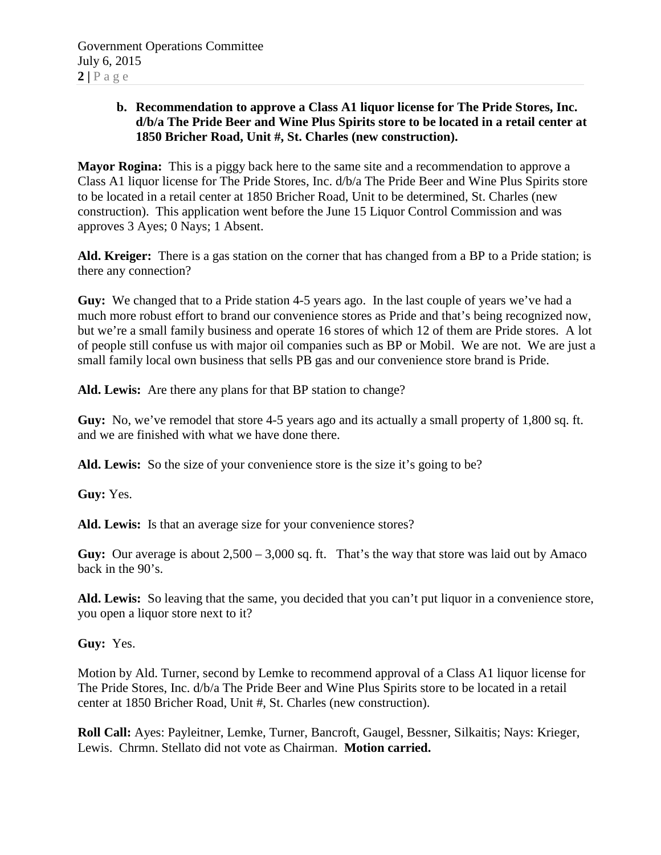### **b. Recommendation to approve a Class A1 liquor license for The Pride Stores, Inc. d/b/a The Pride Beer and Wine Plus Spirits store to be located in a retail center at 1850 Bricher Road, Unit #, St. Charles (new construction).**

**Mayor Rogina:** This is a piggy back here to the same site and a recommendation to approve a Class A1 liquor license for The Pride Stores, Inc. d/b/a The Pride Beer and Wine Plus Spirits store to be located in a retail center at 1850 Bricher Road, Unit to be determined, St. Charles (new construction). This application went before the June 15 Liquor Control Commission and was approves 3 Ayes; 0 Nays; 1 Absent.

**Ald. Kreiger:** There is a gas station on the corner that has changed from a BP to a Pride station; is there any connection?

**Guy:** We changed that to a Pride station 4-5 years ago. In the last couple of years we've had a much more robust effort to brand our convenience stores as Pride and that's being recognized now, but we're a small family business and operate 16 stores of which 12 of them are Pride stores. A lot of people still confuse us with major oil companies such as BP or Mobil. We are not. We are just a small family local own business that sells PB gas and our convenience store brand is Pride.

**Ald. Lewis:** Are there any plans for that BP station to change?

**Guy:** No, we've remodel that store 4-5 years ago and its actually a small property of 1,800 sq. ft. and we are finished with what we have done there.

Ald. Lewis: So the size of your convenience store is the size it's going to be?

**Guy:** Yes.

**Ald. Lewis:** Is that an average size for your convenience stores?

**Guy:** Our average is about 2,500 – 3,000 sq. ft. That's the way that store was laid out by Amaco back in the 90's.

**Ald. Lewis:** So leaving that the same, you decided that you can't put liquor in a convenience store, you open a liquor store next to it?

**Guy:** Yes.

Motion by Ald. Turner, second by Lemke to recommend approval of a Class A1 liquor license for The Pride Stores, Inc. d/b/a The Pride Beer and Wine Plus Spirits store to be located in a retail center at 1850 Bricher Road, Unit #, St. Charles (new construction).

**Roll Call:** Ayes: Payleitner, Lemke, Turner, Bancroft, Gaugel, Bessner, Silkaitis; Nays: Krieger, Lewis. Chrmn. Stellato did not vote as Chairman. **Motion carried.**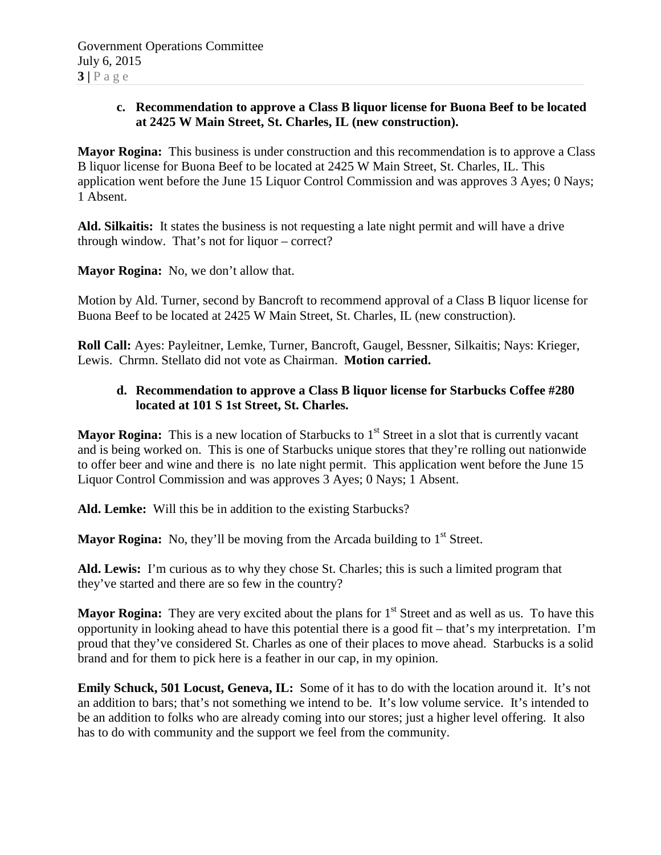### **c. Recommendation to approve a Class B liquor license for Buona Beef to be located at 2425 W Main Street, St. Charles, IL (new construction).**

**Mayor Rogina:** This business is under construction and this recommendation is to approve a Class B liquor license for Buona Beef to be located at 2425 W Main Street, St. Charles, IL. This application went before the June 15 Liquor Control Commission and was approves 3 Ayes; 0 Nays; 1 Absent.

**Ald. Silkaitis:** It states the business is not requesting a late night permit and will have a drive through window. That's not for liquor – correct?

**Mayor Rogina:** No, we don't allow that.

Motion by Ald. Turner, second by Bancroft to recommend approval of a Class B liquor license for Buona Beef to be located at 2425 W Main Street, St. Charles, IL (new construction).

**Roll Call:** Ayes: Payleitner, Lemke, Turner, Bancroft, Gaugel, Bessner, Silkaitis; Nays: Krieger, Lewis. Chrmn. Stellato did not vote as Chairman. **Motion carried.**

### **d. Recommendation to approve a Class B liquor license for Starbucks Coffee #280 located at 101 S 1st Street, St. Charles.**

**Mayor Rogina:** This is a new location of Starbucks to 1<sup>st</sup> Street in a slot that is currently vacant and is being worked on. This is one of Starbucks unique stores that they're rolling out nationwide to offer beer and wine and there is no late night permit. This application went before the June 15 Liquor Control Commission and was approves 3 Ayes; 0 Nays; 1 Absent.

**Ald. Lemke:** Will this be in addition to the existing Starbucks?

**Mayor Rogina:** No, they'll be moving from the Arcada building to  $1<sup>st</sup>$  Street.

**Ald. Lewis:** I'm curious as to why they chose St. Charles; this is such a limited program that they've started and there are so few in the country?

**Mayor Rogina:** They are very excited about the plans for  $1<sup>st</sup>$  Street and as well as us. To have this opportunity in looking ahead to have this potential there is a good fit – that's my interpretation. I'm proud that they've considered St. Charles as one of their places to move ahead. Starbucks is a solid brand and for them to pick here is a feather in our cap, in my opinion.

**Emily Schuck, 501 Locust, Geneva, IL:** Some of it has to do with the location around it. It's not an addition to bars; that's not something we intend to be. It's low volume service. It's intended to be an addition to folks who are already coming into our stores; just a higher level offering. It also has to do with community and the support we feel from the community.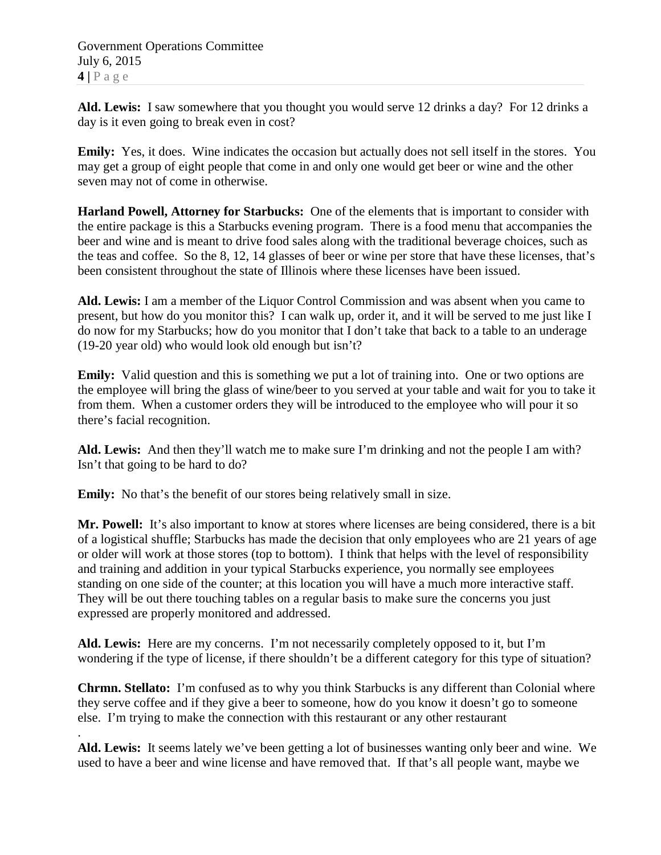Government Operations Committee July 6, 2015 **4 |** Page

**Ald. Lewis:** I saw somewhere that you thought you would serve 12 drinks a day? For 12 drinks a day is it even going to break even in cost?

**Emily:** Yes, it does. Wine indicates the occasion but actually does not sell itself in the stores. You may get a group of eight people that come in and only one would get beer or wine and the other seven may not of come in otherwise.

**Harland Powell, Attorney for Starbucks:** One of the elements that is important to consider with the entire package is this a Starbucks evening program. There is a food menu that accompanies the beer and wine and is meant to drive food sales along with the traditional beverage choices, such as the teas and coffee. So the 8, 12, 14 glasses of beer or wine per store that have these licenses, that's been consistent throughout the state of Illinois where these licenses have been issued.

**Ald. Lewis:** I am a member of the Liquor Control Commission and was absent when you came to present, but how do you monitor this? I can walk up, order it, and it will be served to me just like I do now for my Starbucks; how do you monitor that I don't take that back to a table to an underage (19-20 year old) who would look old enough but isn't?

**Emily:** Valid question and this is something we put a lot of training into. One or two options are the employee will bring the glass of wine/beer to you served at your table and wait for you to take it from them. When a customer orders they will be introduced to the employee who will pour it so there's facial recognition.

**Ald. Lewis:** And then they'll watch me to make sure I'm drinking and not the people I am with? Isn't that going to be hard to do?

**Emily:** No that's the benefit of our stores being relatively small in size.

**Mr. Powell:** It's also important to know at stores where licenses are being considered, there is a bit of a logistical shuffle; Starbucks has made the decision that only employees who are 21 years of age or older will work at those stores (top to bottom). I think that helps with the level of responsibility and training and addition in your typical Starbucks experience, you normally see employees standing on one side of the counter; at this location you will have a much more interactive staff. They will be out there touching tables on a regular basis to make sure the concerns you just expressed are properly monitored and addressed.

**Ald. Lewis:** Here are my concerns. I'm not necessarily completely opposed to it, but I'm wondering if the type of license, if there shouldn't be a different category for this type of situation?

**Chrmn. Stellato:** I'm confused as to why you think Starbucks is any different than Colonial where they serve coffee and if they give a beer to someone, how do you know it doesn't go to someone else. I'm trying to make the connection with this restaurant or any other restaurant

. **Ald. Lewis:** It seems lately we've been getting a lot of businesses wanting only beer and wine. We used to have a beer and wine license and have removed that. If that's all people want, maybe we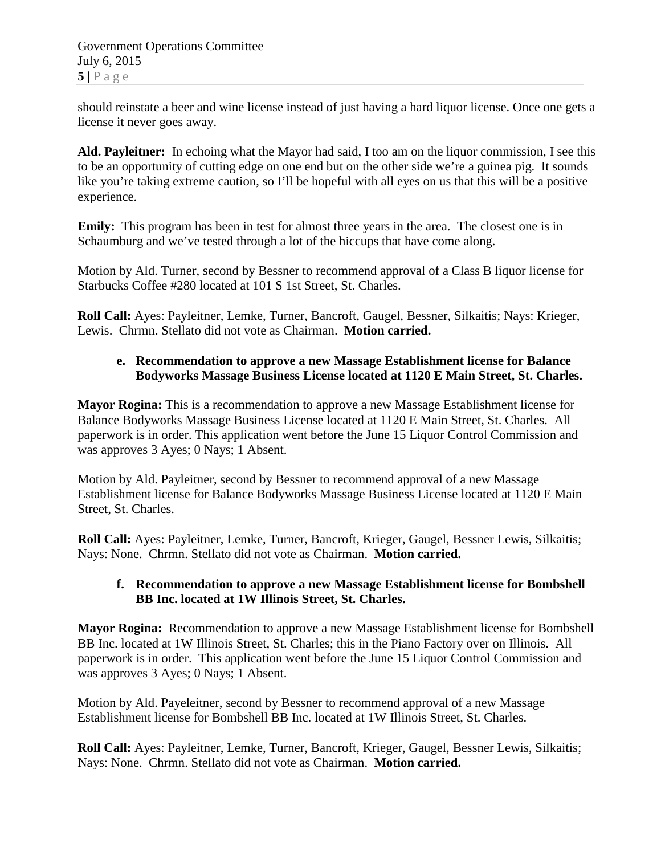Government Operations Committee July 6, 2015  $5|$   $P$  a g e

should reinstate a beer and wine license instead of just having a hard liquor license. Once one gets a license it never goes away.

**Ald. Payleitner:** In echoing what the Mayor had said, I too am on the liquor commission, I see this to be an opportunity of cutting edge on one end but on the other side we're a guinea pig. It sounds like you're taking extreme caution, so I'll be hopeful with all eyes on us that this will be a positive experience.

**Emily:** This program has been in test for almost three years in the area. The closest one is in Schaumburg and we've tested through a lot of the hiccups that have come along.

Motion by Ald. Turner, second by Bessner to recommend approval of a Class B liquor license for Starbucks Coffee #280 located at 101 S 1st Street, St. Charles.

**Roll Call:** Ayes: Payleitner, Lemke, Turner, Bancroft, Gaugel, Bessner, Silkaitis; Nays: Krieger, Lewis. Chrmn. Stellato did not vote as Chairman. **Motion carried.**

# **e. Recommendation to approve a new Massage Establishment license for Balance Bodyworks Massage Business License located at 1120 E Main Street, St. Charles.**

**Mayor Rogina:** This is a recommendation to approve a new Massage Establishment license for Balance Bodyworks Massage Business License located at 1120 E Main Street, St. Charles. All paperwork is in order. This application went before the June 15 Liquor Control Commission and was approves 3 Ayes; 0 Nays; 1 Absent.

Motion by Ald. Payleitner, second by Bessner to recommend approval of a new Massage Establishment license for Balance Bodyworks Massage Business License located at 1120 E Main Street, St. Charles.

**Roll Call:** Ayes: Payleitner, Lemke, Turner, Bancroft, Krieger, Gaugel, Bessner Lewis, Silkaitis; Nays: None. Chrmn. Stellato did not vote as Chairman. **Motion carried.**

### **f. Recommendation to approve a new Massage Establishment license for Bombshell BB Inc. located at 1W Illinois Street, St. Charles.**

**Mayor Rogina:** Recommendation to approve a new Massage Establishment license for Bombshell BB Inc. located at 1W Illinois Street, St. Charles; this in the Piano Factory over on Illinois. All paperwork is in order. This application went before the June 15 Liquor Control Commission and was approves 3 Ayes; 0 Nays; 1 Absent.

Motion by Ald. Payeleitner, second by Bessner to recommend approval of a new Massage Establishment license for Bombshell BB Inc. located at 1W Illinois Street, St. Charles.

**Roll Call:** Ayes: Payleitner, Lemke, Turner, Bancroft, Krieger, Gaugel, Bessner Lewis, Silkaitis; Nays: None. Chrmn. Stellato did not vote as Chairman. **Motion carried.**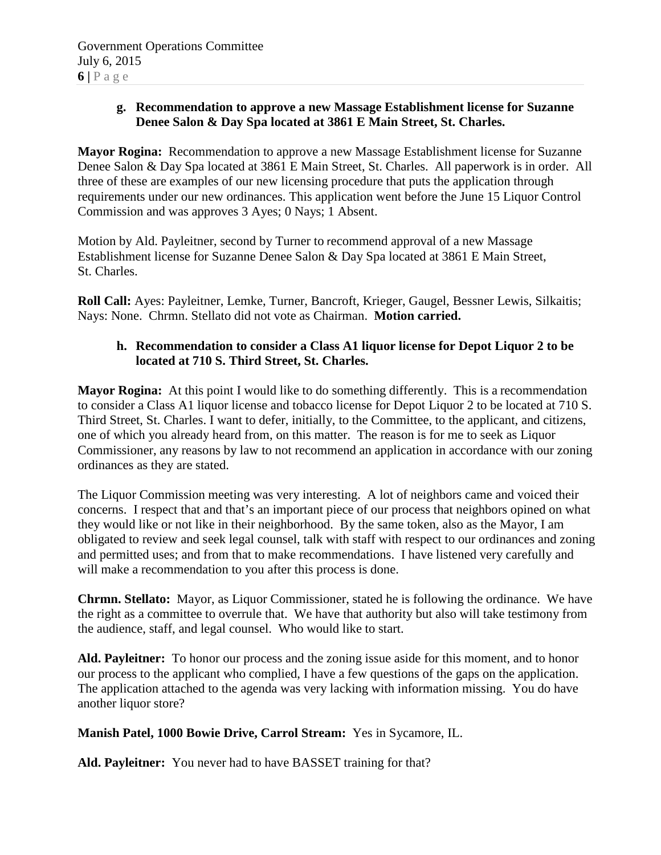# **g. Recommendation to approve a new Massage Establishment license for Suzanne Denee Salon & Day Spa located at 3861 E Main Street, St. Charles.**

**Mayor Rogina:** Recommendation to approve a new Massage Establishment license for Suzanne Denee Salon & Day Spa located at 3861 E Main Street, St. Charles. All paperwork is in order. All three of these are examples of our new licensing procedure that puts the application through requirements under our new ordinances. This application went before the June 15 Liquor Control Commission and was approves 3 Ayes; 0 Nays; 1 Absent.

Motion by Ald. Payleitner, second by Turner to recommend approval of a new Massage Establishment license for Suzanne Denee Salon & Day Spa located at 3861 E Main Street, St. Charles.

**Roll Call:** Ayes: Payleitner, Lemke, Turner, Bancroft, Krieger, Gaugel, Bessner Lewis, Silkaitis; Nays: None. Chrmn. Stellato did not vote as Chairman. **Motion carried.**

### **h. Recommendation to consider a Class A1 liquor license for Depot Liquor 2 to be located at 710 S. Third Street, St. Charles.**

**Mayor Rogina:** At this point I would like to do something differently. This is a recommendation to consider a Class A1 liquor license and tobacco license for Depot Liquor 2 to be located at 710 S. Third Street, St. Charles. I want to defer, initially, to the Committee, to the applicant, and citizens, one of which you already heard from, on this matter. The reason is for me to seek as Liquor Commissioner, any reasons by law to not recommend an application in accordance with our zoning ordinances as they are stated.

The Liquor Commission meeting was very interesting. A lot of neighbors came and voiced their concerns. I respect that and that's an important piece of our process that neighbors opined on what they would like or not like in their neighborhood. By the same token, also as the Mayor, I am obligated to review and seek legal counsel, talk with staff with respect to our ordinances and zoning and permitted uses; and from that to make recommendations. I have listened very carefully and will make a recommendation to you after this process is done.

**Chrmn. Stellato:** Mayor, as Liquor Commissioner, stated he is following the ordinance. We have the right as a committee to overrule that. We have that authority but also will take testimony from the audience, staff, and legal counsel. Who would like to start.

**Ald. Payleitner:** To honor our process and the zoning issue aside for this moment, and to honor our process to the applicant who complied, I have a few questions of the gaps on the application. The application attached to the agenda was very lacking with information missing. You do have another liquor store?

# **Manish Patel, 1000 Bowie Drive, Carrol Stream:** Yes in Sycamore, IL.

**Ald. Payleitner:** You never had to have BASSET training for that?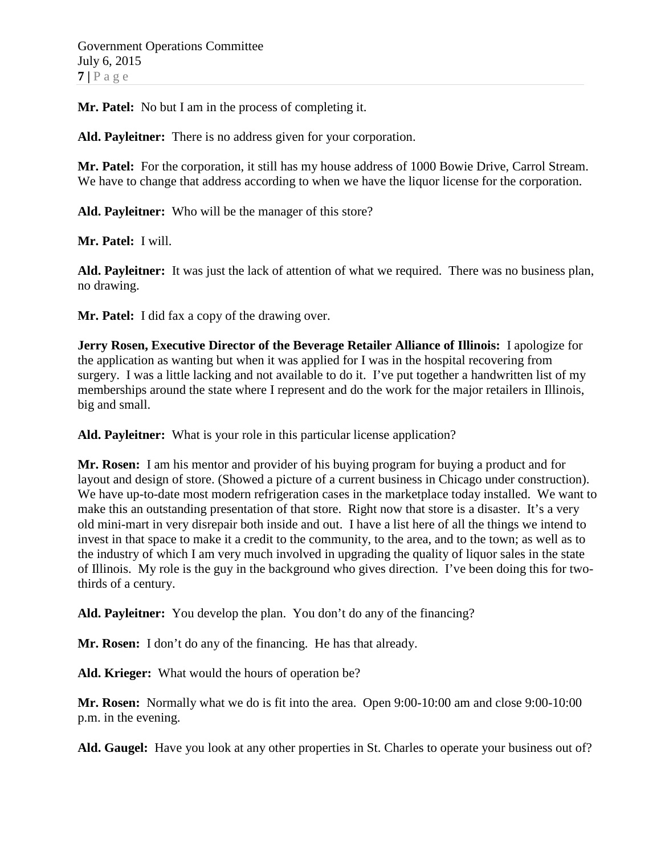**Mr. Patel:** No but I am in the process of completing it.

**Ald. Payleitner:** There is no address given for your corporation.

**Mr. Patel:** For the corporation, it still has my house address of 1000 Bowie Drive, Carrol Stream. We have to change that address according to when we have the liquor license for the corporation.

**Ald. Payleitner:** Who will be the manager of this store?

**Mr. Patel:** I will.

**Ald. Payleitner:** It was just the lack of attention of what we required. There was no business plan, no drawing.

**Mr. Patel:** I did fax a copy of the drawing over.

**Jerry Rosen, Executive Director of the Beverage Retailer Alliance of Illinois:** I apologize for the application as wanting but when it was applied for I was in the hospital recovering from surgery. I was a little lacking and not available to do it. I've put together a handwritten list of my memberships around the state where I represent and do the work for the major retailers in Illinois, big and small.

**Ald. Payleitner:** What is your role in this particular license application?

**Mr. Rosen:** I am his mentor and provider of his buying program for buying a product and for layout and design of store. (Showed a picture of a current business in Chicago under construction). We have up-to-date most modern refrigeration cases in the marketplace today installed. We want to make this an outstanding presentation of that store. Right now that store is a disaster. It's a very old mini-mart in very disrepair both inside and out. I have a list here of all the things we intend to invest in that space to make it a credit to the community, to the area, and to the town; as well as to the industry of which I am very much involved in upgrading the quality of liquor sales in the state of Illinois. My role is the guy in the background who gives direction. I've been doing this for twothirds of a century.

**Ald. Payleitner:** You develop the plan. You don't do any of the financing?

**Mr. Rosen:** I don't do any of the financing. He has that already.

**Ald. Krieger:** What would the hours of operation be?

**Mr. Rosen:** Normally what we do is fit into the area. Open 9:00-10:00 am and close 9:00-10:00 p.m. in the evening.

**Ald. Gaugel:** Have you look at any other properties in St. Charles to operate your business out of?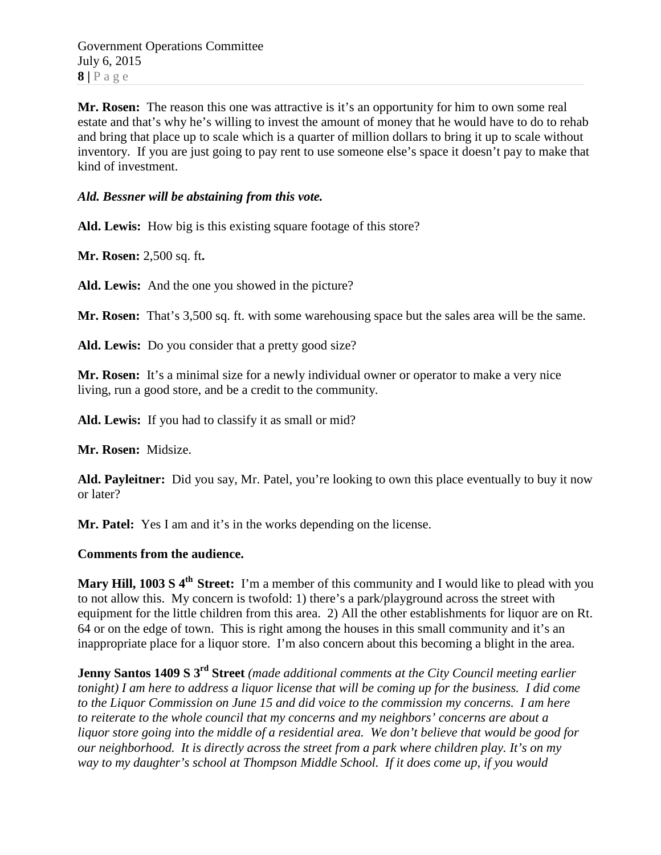Government Operations Committee July 6, 2015  $8 | P \text{ a ge}$ 

**Mr. Rosen:** The reason this one was attractive is it's an opportunity for him to own some real estate and that's why he's willing to invest the amount of money that he would have to do to rehab and bring that place up to scale which is a quarter of million dollars to bring it up to scale without inventory. If you are just going to pay rent to use someone else's space it doesn't pay to make that kind of investment.

### *Ald. Bessner will be abstaining from this vote.*

**Ald. Lewis:** How big is this existing square footage of this store?

**Mr. Rosen:** 2,500 sq. ft**.**

**Ald. Lewis:** And the one you showed in the picture?

**Mr. Rosen:** That's 3,500 sq. ft. with some warehousing space but the sales area will be the same.

**Ald. Lewis:** Do you consider that a pretty good size?

**Mr. Rosen:** It's a minimal size for a newly individual owner or operator to make a very nice living, run a good store, and be a credit to the community.

**Ald. Lewis:** If you had to classify it as small or mid?

**Mr. Rosen:** Midsize.

**Ald. Payleitner:** Did you say, Mr. Patel, you're looking to own this place eventually to buy it now or later?

**Mr. Patel:** Yes I am and it's in the works depending on the license.

#### **Comments from the audience.**

**Mary Hill, 1003 S 4th Street:** I'm a member of this community and I would like to plead with you to not allow this. My concern is twofold: 1) there's a park/playground across the street with equipment for the little children from this area. 2) All the other establishments for liquor are on Rt. 64 or on the edge of town. This is right among the houses in this small community and it's an inappropriate place for a liquor store. I'm also concern about this becoming a blight in the area.

**Jenny Santos 1409 S 3rd Street** *(made additional comments at the City Council meeting earlier tonight) I am here to address a liquor license that will be coming up for the business. I did come to the Liquor Commission on June 15 and did voice to the commission my concerns. I am here to reiterate to the whole council that my concerns and my neighbors' concerns are about a liquor store going into the middle of a residential area. We don't believe that would be good for our neighborhood. It is directly across the street from a park where children play. It's on my way to my daughter's school at Thompson Middle School. If it does come up, if you would*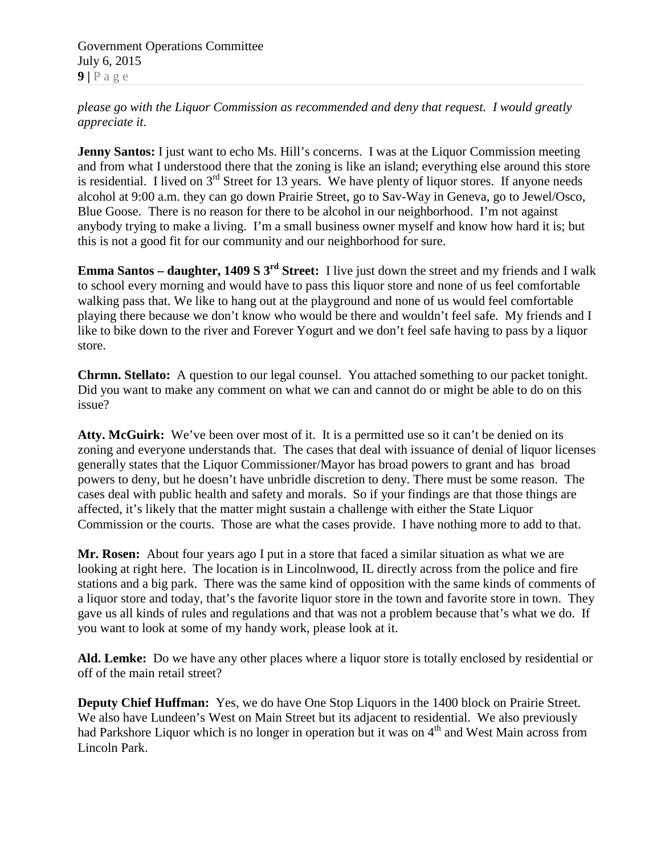Government Operations Committee July 6, 2015  $9$  |  $P$  a g e

*please go with the Liquor Commission as recommended and deny that request. I would greatly appreciate it.* 

**Jenny Santos:** I just want to echo Ms. Hill's concerns. I was at the Liquor Commission meeting and from what I understood there that the zoning is like an island; everything else around this store is residential. I lived on 3<sup>rd</sup> Street for 13 years. We have plenty of liquor stores. If anyone needs alcohol at 9:00 a.m. they can go down Prairie Street, go to Sav-Way in Geneva, go to Jewel/Osco, Blue Goose. There is no reason for there to be alcohol in our neighborhood. I'm not against anybody trying to make a living. I'm a small business owner myself and know how hard it is; but this is not a good fit for our community and our neighborhood for sure.

**Emma Santos – daughter, 1409 S 3rd Street:** I live just down the street and my friends and I walk to school every morning and would have to pass this liquor store and none of us feel comfortable walking pass that. We like to hang out at the playground and none of us would feel comfortable playing there because we don't know who would be there and wouldn't feel safe. My friends and I like to bike down to the river and Forever Yogurt and we don't feel safe having to pass by a liquor store.

**Chrmn. Stellato:** A question to our legal counsel. You attached something to our packet tonight. Did you want to make any comment on what we can and cannot do or might be able to do on this issue?

Atty. McGuirk: We've been over most of it. It is a permitted use so it can't be denied on its zoning and everyone understands that. The cases that deal with issuance of denial of liquor licenses generally states that the Liquor Commissioner/Mayor has broad powers to grant and has broad powers to deny, but he doesn't have unbridle discretion to deny. There must be some reason. The cases deal with public health and safety and morals. So if your findings are that those things are affected, it's likely that the matter might sustain a challenge with either the State Liquor Commission or the courts. Those are what the cases provide. I have nothing more to add to that.

**Mr. Rosen:** About four years ago I put in a store that faced a similar situation as what we are looking at right here. The location is in Lincolnwood, IL directly across from the police and fire stations and a big park. There was the same kind of opposition with the same kinds of comments of a liquor store and today, that's the favorite liquor store in the town and favorite store in town. They gave us all kinds of rules and regulations and that was not a problem because that's what we do. If you want to look at some of my handy work, please look at it.

**Ald. Lemke:** Do we have any other places where a liquor store is totally enclosed by residential or off of the main retail street?

**Deputy Chief Huffman:** Yes, we do have One Stop Liquors in the 1400 block on Prairie Street. We also have Lundeen's West on Main Street but its adjacent to residential. We also previously had Parkshore Liquor which is no longer in operation but it was on 4<sup>th</sup> and West Main across from Lincoln Park.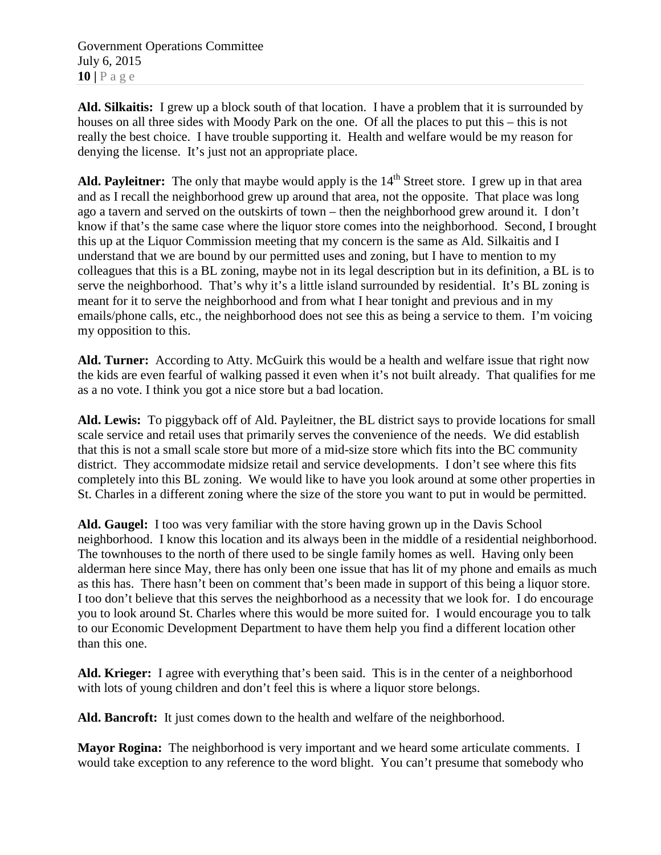Government Operations Committee July 6, 2015  $10$  |  $P$  a g e

**Ald. Silkaitis:** I grew up a block south of that location. I have a problem that it is surrounded by houses on all three sides with Moody Park on the one. Of all the places to put this – this is not really the best choice. I have trouble supporting it. Health and welfare would be my reason for denying the license. It's just not an appropriate place.

Ald. Payleitner: The only that maybe would apply is the 14<sup>th</sup> Street store. I grew up in that area and as I recall the neighborhood grew up around that area, not the opposite. That place was long ago a tavern and served on the outskirts of town – then the neighborhood grew around it. I don't know if that's the same case where the liquor store comes into the neighborhood. Second, I brought this up at the Liquor Commission meeting that my concern is the same as Ald. Silkaitis and I understand that we are bound by our permitted uses and zoning, but I have to mention to my colleagues that this is a BL zoning, maybe not in its legal description but in its definition, a BL is to serve the neighborhood. That's why it's a little island surrounded by residential. It's BL zoning is meant for it to serve the neighborhood and from what I hear tonight and previous and in my emails/phone calls, etc., the neighborhood does not see this as being a service to them. I'm voicing my opposition to this.

**Ald. Turner:** According to Atty. McGuirk this would be a health and welfare issue that right now the kids are even fearful of walking passed it even when it's not built already. That qualifies for me as a no vote. I think you got a nice store but a bad location.

**Ald. Lewis:** To piggyback off of Ald. Payleitner, the BL district says to provide locations for small scale service and retail uses that primarily serves the convenience of the needs. We did establish that this is not a small scale store but more of a mid-size store which fits into the BC community district. They accommodate midsize retail and service developments. I don't see where this fits completely into this BL zoning. We would like to have you look around at some other properties in St. Charles in a different zoning where the size of the store you want to put in would be permitted.

**Ald. Gaugel:** I too was very familiar with the store having grown up in the Davis School neighborhood. I know this location and its always been in the middle of a residential neighborhood. The townhouses to the north of there used to be single family homes as well. Having only been alderman here since May, there has only been one issue that has lit of my phone and emails as much as this has. There hasn't been on comment that's been made in support of this being a liquor store. I too don't believe that this serves the neighborhood as a necessity that we look for. I do encourage you to look around St. Charles where this would be more suited for. I would encourage you to talk to our Economic Development Department to have them help you find a different location other than this one.

**Ald. Krieger:** I agree with everything that's been said. This is in the center of a neighborhood with lots of young children and don't feel this is where a liquor store belongs.

**Ald. Bancroft:** It just comes down to the health and welfare of the neighborhood.

**Mayor Rogina:** The neighborhood is very important and we heard some articulate comments. I would take exception to any reference to the word blight. You can't presume that somebody who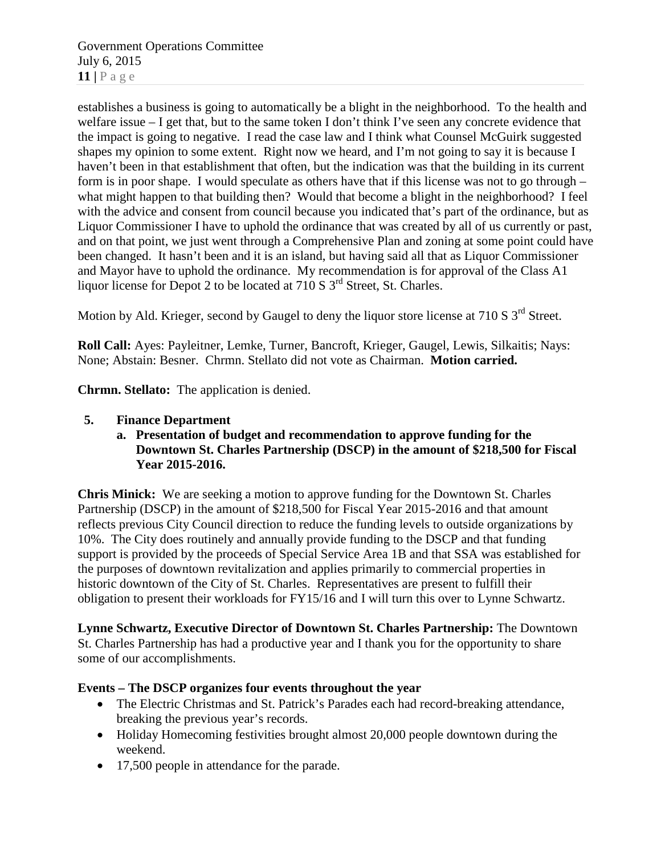Government Operations Committee July 6, 2015 **11 |** Page

establishes a business is going to automatically be a blight in the neighborhood. To the health and welfare issue – I get that, but to the same token I don't think I've seen any concrete evidence that the impact is going to negative. I read the case law and I think what Counsel McGuirk suggested shapes my opinion to some extent. Right now we heard, and I'm not going to say it is because I haven't been in that establishment that often, but the indication was that the building in its current form is in poor shape. I would speculate as others have that if this license was not to go through – what might happen to that building then? Would that become a blight in the neighborhood? I feel with the advice and consent from council because you indicated that's part of the ordinance, but as Liquor Commissioner I have to uphold the ordinance that was created by all of us currently or past, and on that point, we just went through a Comprehensive Plan and zoning at some point could have been changed. It hasn't been and it is an island, but having said all that as Liquor Commissioner and Mayor have to uphold the ordinance. My recommendation is for approval of the Class A1 liquor license for Depot 2 to be located at 710 S 3<sup>rd</sup> Street, St. Charles.

Motion by Ald. Krieger, second by Gaugel to deny the liquor store license at 710 S 3<sup>rd</sup> Street.

**Roll Call:** Ayes: Payleitner, Lemke, Turner, Bancroft, Krieger, Gaugel, Lewis, Silkaitis; Nays: None; Abstain: Besner. Chrmn. Stellato did not vote as Chairman. **Motion carried.**

**Chrmn. Stellato:** The application is denied.

- **5. Finance Department**
	- **a. Presentation of budget and recommendation to approve funding for the Downtown St. Charles Partnership (DSCP) in the amount of \$218,500 for Fiscal Year 2015-2016.**

**Chris Minick:** We are seeking a motion to approve funding for the Downtown St. Charles Partnership (DSCP) in the amount of \$218,500 for Fiscal Year 2015-2016 and that amount reflects previous City Council direction to reduce the funding levels to outside organizations by 10%. The City does routinely and annually provide funding to the DSCP and that funding support is provided by the proceeds of Special Service Area 1B and that SSA was established for the purposes of downtown revitalization and applies primarily to commercial properties in historic downtown of the City of St. Charles. Representatives are present to fulfill their obligation to present their workloads for FY15/16 and I will turn this over to Lynne Schwartz.

**Lynne Schwartz, Executive Director of Downtown St. Charles Partnership:** The Downtown St. Charles Partnership has had a productive year and I thank you for the opportunity to share some of our accomplishments.

#### **Events – The DSCP organizes four events throughout the year**

- The Electric Christmas and St. Patrick's Parades each had record-breaking attendance, breaking the previous year's records.
- Holiday Homecoming festivities brought almost 20,000 people downtown during the weekend.
- 17,500 people in attendance for the parade.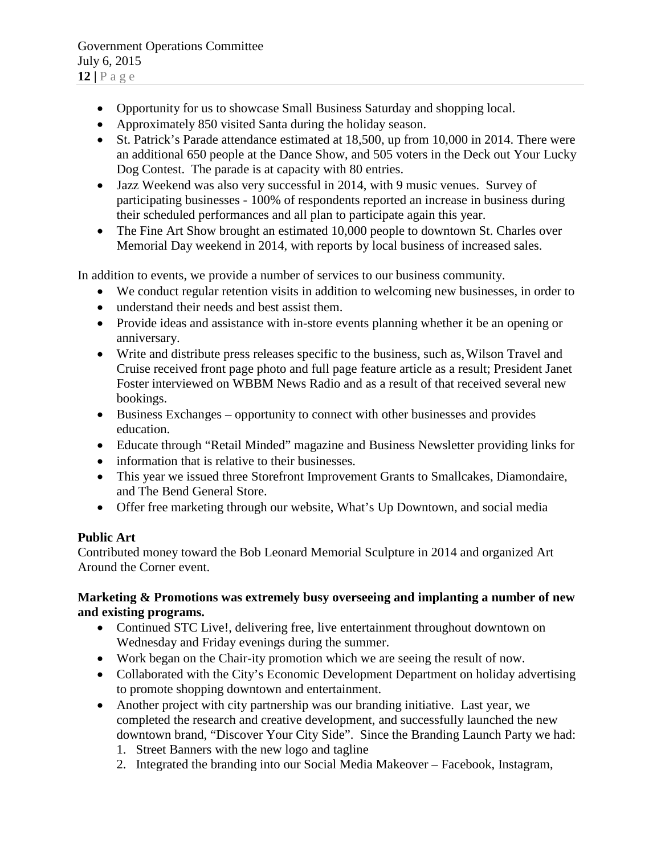- Opportunity for us to showcase Small Business Saturday and shopping local.
- Approximately 850 visited Santa during the holiday season.
- St. Patrick's Parade attendance estimated at 18,500, up from 10,000 in 2014. There were an additional 650 people at the Dance Show, and 505 voters in the Deck out Your Lucky Dog Contest. The parade is at capacity with 80 entries.
- Jazz Weekend was also very successful in 2014, with 9 music venues. Survey of participating businesses - 100% of respondents reported an increase in business during their scheduled performances and all plan to participate again this year.
- The Fine Art Show brought an estimated 10,000 people to downtown St. Charles over Memorial Day weekend in 2014, with reports by local business of increased sales.

In addition to events, we provide a number of services to our business community.

- We conduct regular retention visits in addition to welcoming new businesses, in order to
- understand their needs and best assist them.
- Provide ideas and assistance with in-store events planning whether it be an opening or anniversary.
- Write and distribute press releases specific to the business, such as, Wilson Travel and Cruise received front page photo and full page feature article as a result; President Janet Foster interviewed on WBBM News Radio and as a result of that received several new bookings.
- Business Exchanges opportunity to connect with other businesses and provides education.
- Educate through "Retail Minded" magazine and Business Newsletter providing links for
- information that is relative to their businesses.
- This year we issued three Storefront Improvement Grants to Smallcakes, Diamondaire, and The Bend General Store.
- Offer free marketing through our website, What's Up Downtown, and social media

# **Public Art**

Contributed money toward the Bob Leonard Memorial Sculpture in 2014 and organized Art Around the Corner event.

### **Marketing & Promotions was extremely busy overseeing and implanting a number of new and existing programs.**

- Continued STC Live!, delivering free, live entertainment throughout downtown on Wednesday and Friday evenings during the summer.
- Work began on the Chair-ity promotion which we are seeing the result of now.
- Collaborated with the City's Economic Development Department on holiday advertising to promote shopping downtown and entertainment.
- Another project with city partnership was our branding initiative. Last year, we completed the research and creative development, and successfully launched the new downtown brand, "Discover Your City Side". Since the Branding Launch Party we had:
	- 1. Street Banners with the new logo and tagline
	- 2. Integrated the branding into our Social Media Makeover Facebook, Instagram,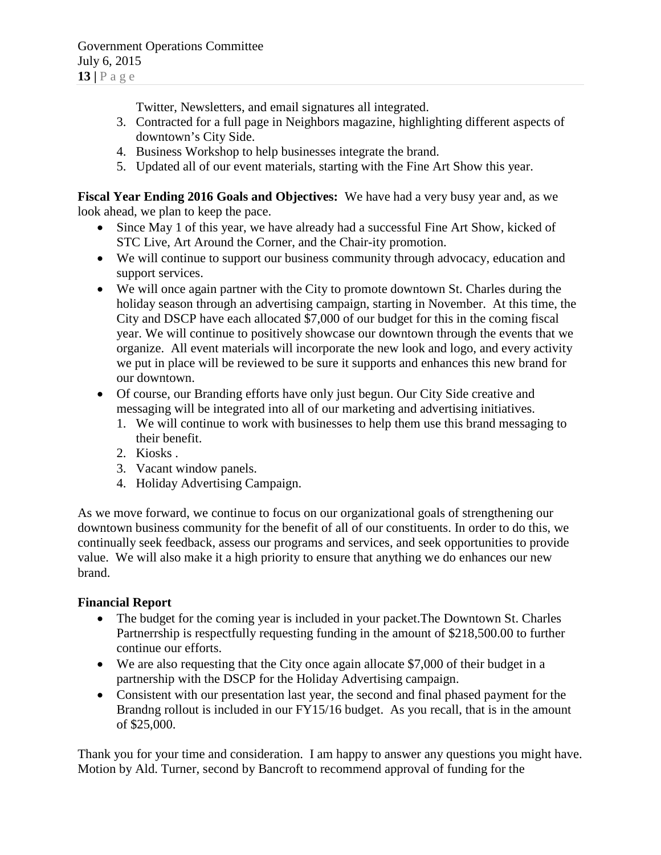Twitter, Newsletters, and email signatures all integrated.

- 3. Contracted for a full page in Neighbors magazine, highlighting different aspects of downtown's City Side.
- 4. Business Workshop to help businesses integrate the brand.
- 5. Updated all of our event materials, starting with the Fine Art Show this year.

**Fiscal Year Ending 2016 Goals and Objectives:** We have had a very busy year and, as we look ahead, we plan to keep the pace.

- Since May 1 of this year, we have already had a successful Fine Art Show, kicked of STC Live, Art Around the Corner, and the Chair-ity promotion.
- We will continue to support our business community through advocacy, education and support services.
- We will once again partner with the City to promote downtown St. Charles during the holiday season through an advertising campaign, starting in November. At this time, the City and DSCP have each allocated \$7,000 of our budget for this in the coming fiscal year. We will continue to positively showcase our downtown through the events that we organize. All event materials will incorporate the new look and logo, and every activity we put in place will be reviewed to be sure it supports and enhances this new brand for our downtown.
- Of course, our Branding efforts have only just begun. Our City Side creative and messaging will be integrated into all of our marketing and advertising initiatives.
	- 1. We will continue to work with businesses to help them use this brand messaging to their benefit.
	- 2. Kiosks .
	- 3. Vacant window panels.
	- 4. Holiday Advertising Campaign.

As we move forward, we continue to focus on our organizational goals of strengthening our downtown business community for the benefit of all of our constituents. In order to do this, we continually seek feedback, assess our programs and services, and seek opportunities to provide value. We will also make it a high priority to ensure that anything we do enhances our new brand.

#### **Financial Report**

- The budget for the coming year is included in your packet. The Downtown St. Charles Partnerrship is respectfully requesting funding in the amount of \$218,500.00 to further continue our efforts.
- We are also requesting that the City once again allocate \$7,000 of their budget in a partnership with the DSCP for the Holiday Advertising campaign.
- Consistent with our presentation last year, the second and final phased payment for the Brandng rollout is included in our FY15/16 budget. As you recall, that is in the amount of \$25,000.

Thank you for your time and consideration. I am happy to answer any questions you might have. Motion by Ald. Turner, second by Bancroft to recommend approval of funding for the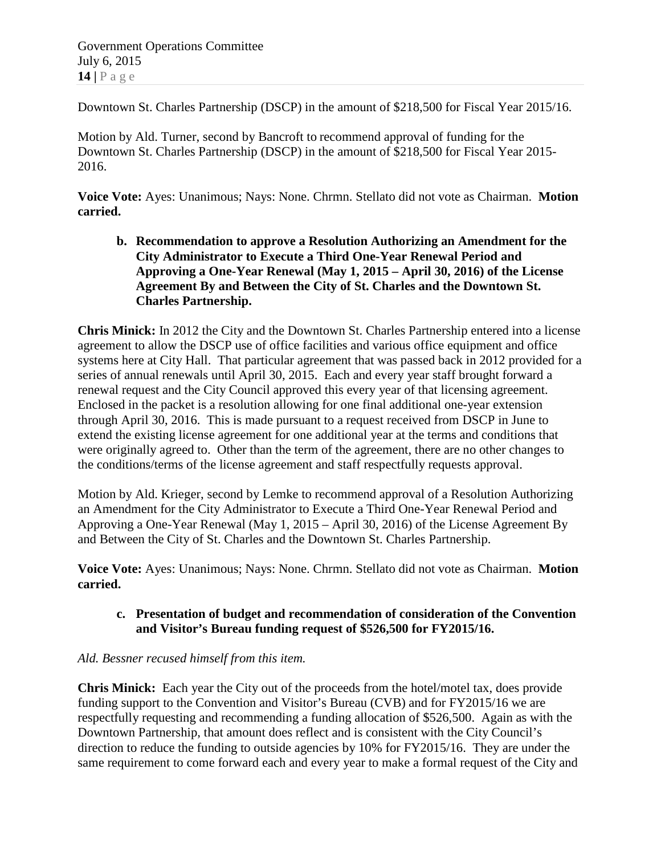Government Operations Committee July 6, 2015 **14 |** Page

Downtown St. Charles Partnership (DSCP) in the amount of \$218,500 for Fiscal Year 2015/16.

Motion by Ald. Turner, second by Bancroft to recommend approval of funding for the Downtown St. Charles Partnership (DSCP) in the amount of \$218,500 for Fiscal Year 2015- 2016.

**Voice Vote:** Ayes: Unanimous; Nays: None. Chrmn. Stellato did not vote as Chairman. **Motion carried.**

**b. Recommendation to approve a Resolution Authorizing an Amendment for the City Administrator to Execute a Third One-Year Renewal Period and Approving a One-Year Renewal (May 1, 2015 – April 30, 2016) of the License Agreement By and Between the City of St. Charles and the Downtown St. Charles Partnership.**

**Chris Minick:** In 2012 the City and the Downtown St. Charles Partnership entered into a license agreement to allow the DSCP use of office facilities and various office equipment and office systems here at City Hall. That particular agreement that was passed back in 2012 provided for a series of annual renewals until April 30, 2015. Each and every year staff brought forward a renewal request and the City Council approved this every year of that licensing agreement. Enclosed in the packet is a resolution allowing for one final additional one-year extension through April 30, 2016. This is made pursuant to a request received from DSCP in June to extend the existing license agreement for one additional year at the terms and conditions that were originally agreed to. Other than the term of the agreement, there are no other changes to the conditions/terms of the license agreement and staff respectfully requests approval.

Motion by Ald. Krieger, second by Lemke to recommend approval of a Resolution Authorizing an Amendment for the City Administrator to Execute a Third One-Year Renewal Period and Approving a One-Year Renewal (May 1, 2015 – April 30, 2016) of the License Agreement By and Between the City of St. Charles and the Downtown St. Charles Partnership.

**Voice Vote:** Ayes: Unanimous; Nays: None. Chrmn. Stellato did not vote as Chairman. **Motion carried.**

# **c. Presentation of budget and recommendation of consideration of the Convention and Visitor's Bureau funding request of \$526,500 for FY2015/16.**

# *Ald. Bessner recused himself from this item.*

**Chris Minick:** Each year the City out of the proceeds from the hotel/motel tax, does provide funding support to the Convention and Visitor's Bureau (CVB) and for FY2015/16 we are respectfully requesting and recommending a funding allocation of \$526,500. Again as with the Downtown Partnership, that amount does reflect and is consistent with the City Council's direction to reduce the funding to outside agencies by 10% for FY2015/16. They are under the same requirement to come forward each and every year to make a formal request of the City and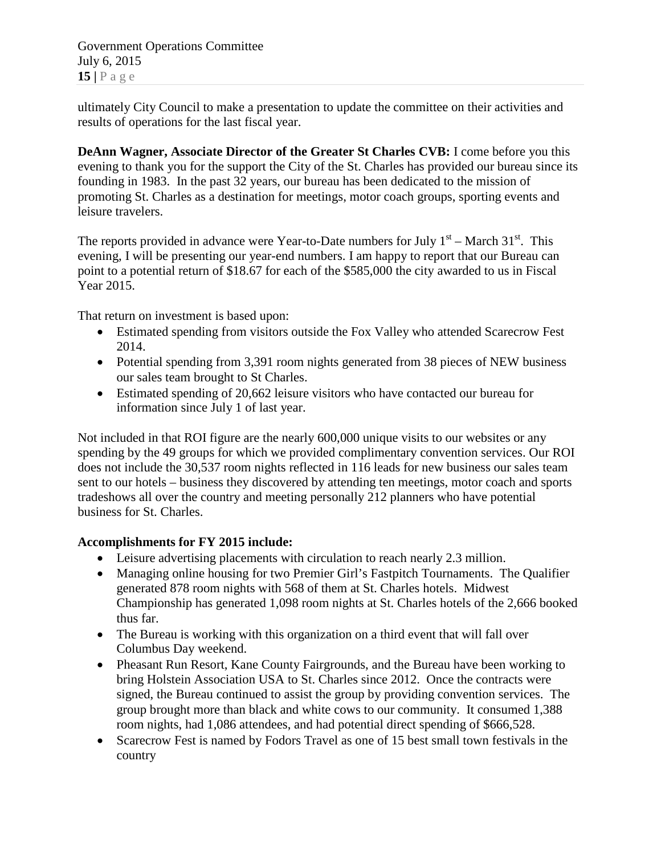Government Operations Committee July 6, 2015  $15$  |  $P$  a g e

ultimately City Council to make a presentation to update the committee on their activities and results of operations for the last fiscal year.

**DeAnn Wagner, Associate Director of the Greater St Charles CVB:** I come before you this evening to thank you for the support the City of the St. Charles has provided our bureau since its founding in 1983. In the past 32 years, our bureau has been dedicated to the mission of promoting St. Charles as a destination for meetings, motor coach groups, sporting events and leisure travelers.

The reports provided in advance were Year-to-Date numbers for July  $1<sup>st</sup>$  – March 31<sup>st</sup>. This evening, I will be presenting our year-end numbers. I am happy to report that our Bureau can point to a potential return of \$18.67 for each of the \$585,000 the city awarded to us in Fiscal Year 2015.

That return on investment is based upon:

- Estimated spending from visitors outside the Fox Valley who attended Scarecrow Fest 2014.
- Potential spending from 3,391 room nights generated from 38 pieces of NEW business our sales team brought to St Charles.
- Estimated spending of 20,662 leisure visitors who have contacted our bureau for information since July 1 of last year.

Not included in that ROI figure are the nearly 600,000 unique visits to our websites or any spending by the 49 groups for which we provided complimentary convention services. Our ROI does not include the 30,537 room nights reflected in 116 leads for new business our sales team sent to our hotels – business they discovered by attending ten meetings, motor coach and sports tradeshows all over the country and meeting personally 212 planners who have potential business for St. Charles.

# **Accomplishments for FY 2015 include:**

- Leisure advertising placements with circulation to reach nearly 2.3 million.
- Managing online housing for two Premier Girl's Fastpitch Tournaments. The Qualifier generated 878 room nights with 568 of them at St. Charles hotels. Midwest Championship has generated 1,098 room nights at St. Charles hotels of the 2,666 booked thus far.
- The Bureau is working with this organization on a third event that will fall over Columbus Day weekend.
- Pheasant Run Resort, Kane County Fairgrounds, and the Bureau have been working to bring Holstein Association USA to St. Charles since 2012. Once the contracts were signed, the Bureau continued to assist the group by providing convention services. The group brought more than black and white cows to our community. It consumed 1,388 room nights, had 1,086 attendees, and had potential direct spending of \$666,528.
- Scarecrow Fest is named by Fodors Travel as one of 15 best small town festivals in the country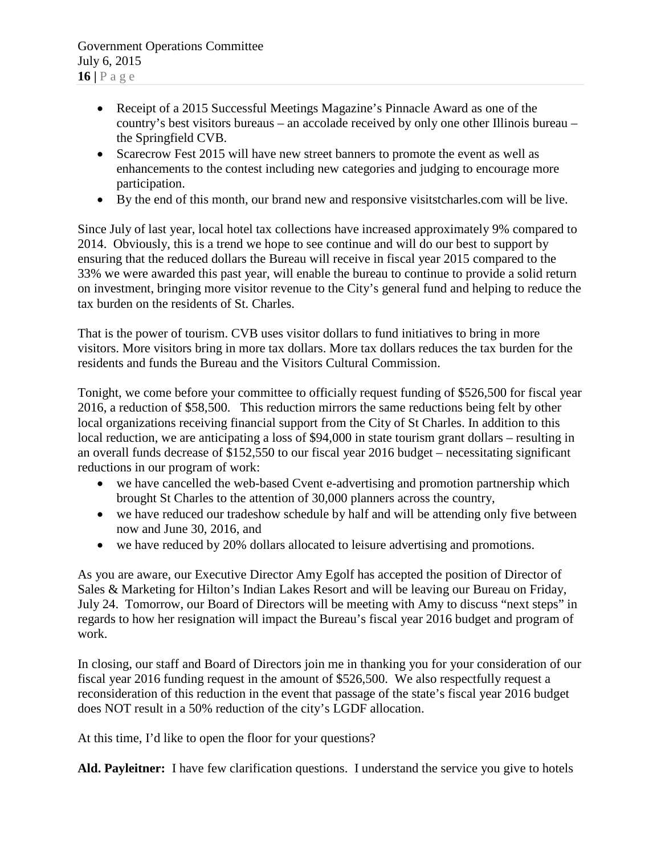- Receipt of a 2015 Successful Meetings Magazine's Pinnacle Award as one of the country's best visitors bureaus – an accolade received by only one other Illinois bureau – the Springfield CVB.
- Scarecrow Fest 2015 will have new street banners to promote the event as well as enhancements to the contest including new categories and judging to encourage more participation.
- By the end of this month, our brand new and responsive visitstcharles.com will be live.

Since July of last year, local hotel tax collections have increased approximately 9% compared to 2014. Obviously, this is a trend we hope to see continue and will do our best to support by ensuring that the reduced dollars the Bureau will receive in fiscal year 2015 compared to the 33% we were awarded this past year, will enable the bureau to continue to provide a solid return on investment, bringing more visitor revenue to the City's general fund and helping to reduce the tax burden on the residents of St. Charles.

That is the power of tourism. CVB uses visitor dollars to fund initiatives to bring in more visitors. More visitors bring in more tax dollars. More tax dollars reduces the tax burden for the residents and funds the Bureau and the Visitors Cultural Commission.

Tonight, we come before your committee to officially request funding of \$526,500 for fiscal year 2016, a reduction of \$58,500. This reduction mirrors the same reductions being felt by other local organizations receiving financial support from the City of St Charles. In addition to this local reduction, we are anticipating a loss of \$94,000 in state tourism grant dollars – resulting in an overall funds decrease of \$152,550 to our fiscal year 2016 budget – necessitating significant reductions in our program of work:

- we have cancelled the web-based Cvent e-advertising and promotion partnership which brought St Charles to the attention of 30,000 planners across the country,
- we have reduced our tradeshow schedule by half and will be attending only five between now and June 30, 2016, and
- we have reduced by 20% dollars allocated to leisure advertising and promotions.

As you are aware, our Executive Director Amy Egolf has accepted the position of Director of Sales & Marketing for Hilton's Indian Lakes Resort and will be leaving our Bureau on Friday, July 24. Tomorrow, our Board of Directors will be meeting with Amy to discuss "next steps" in regards to how her resignation will impact the Bureau's fiscal year 2016 budget and program of work.

In closing, our staff and Board of Directors join me in thanking you for your consideration of our fiscal year 2016 funding request in the amount of \$526,500. We also respectfully request a reconsideration of this reduction in the event that passage of the state's fiscal year 2016 budget does NOT result in a 50% reduction of the city's LGDF allocation.

At this time, I'd like to open the floor for your questions?

**Ald. Payleitner:** I have few clarification questions. I understand the service you give to hotels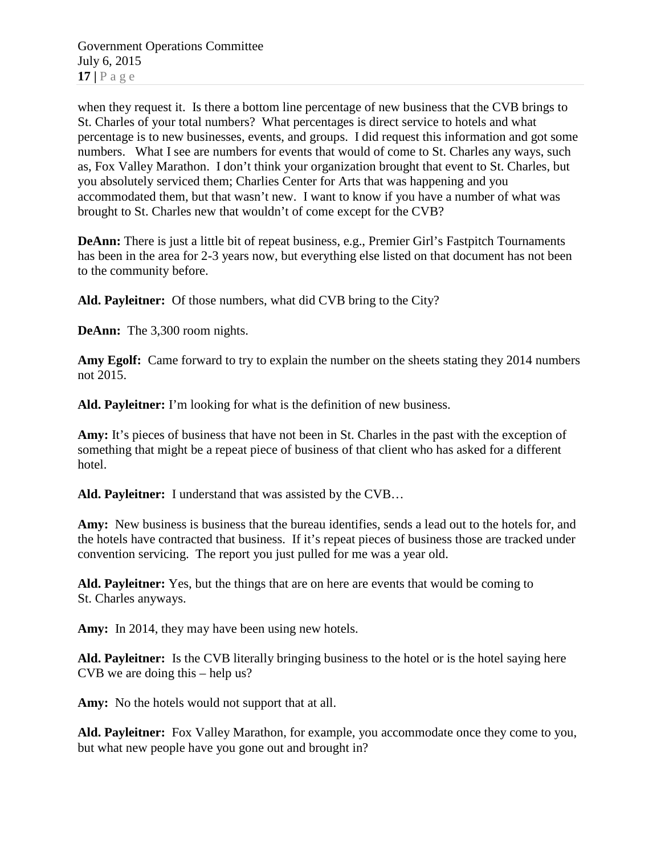Government Operations Committee July 6, 2015 **17 |** Page

when they request it. Is there a bottom line percentage of new business that the CVB brings to St. Charles of your total numbers? What percentages is direct service to hotels and what percentage is to new businesses, events, and groups. I did request this information and got some numbers. What I see are numbers for events that would of come to St. Charles any ways, such as, Fox Valley Marathon. I don't think your organization brought that event to St. Charles, but you absolutely serviced them; Charlies Center for Arts that was happening and you accommodated them, but that wasn't new. I want to know if you have a number of what was brought to St. Charles new that wouldn't of come except for the CVB?

**DeAnn:** There is just a little bit of repeat business, e.g., Premier Girl's Fastpitch Tournaments has been in the area for 2-3 years now, but everything else listed on that document has not been to the community before.

**Ald. Payleitner:** Of those numbers, what did CVB bring to the City?

**DeAnn:** The 3,300 room nights.

**Amy Egolf:** Came forward to try to explain the number on the sheets stating they 2014 numbers not 2015.

**Ald. Payleitner:** I'm looking for what is the definition of new business.

**Amy:** It's pieces of business that have not been in St. Charles in the past with the exception of something that might be a repeat piece of business of that client who has asked for a different hotel.

**Ald. Payleitner:** I understand that was assisted by the CVB…

**Amy:** New business is business that the bureau identifies, sends a lead out to the hotels for, and the hotels have contracted that business. If it's repeat pieces of business those are tracked under convention servicing. The report you just pulled for me was a year old.

**Ald. Payleitner:** Yes, but the things that are on here are events that would be coming to St. Charles anyways.

Amy: In 2014, they may have been using new hotels.

**Ald. Payleitner:** Is the CVB literally bringing business to the hotel or is the hotel saying here CVB we are doing this – help us?

**Amy:** No the hotels would not support that at all.

**Ald. Payleitner:** Fox Valley Marathon, for example, you accommodate once they come to you, but what new people have you gone out and brought in?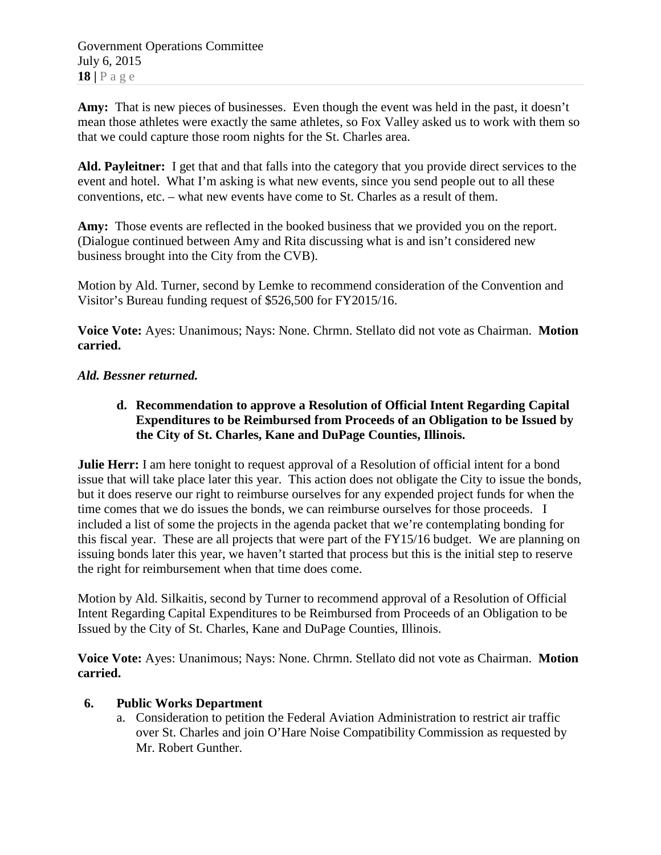Government Operations Committee July 6, 2015 **18 |** Page

Amy: That is new pieces of businesses. Even though the event was held in the past, it doesn't mean those athletes were exactly the same athletes, so Fox Valley asked us to work with them so that we could capture those room nights for the St. Charles area.

**Ald. Payleitner:** I get that and that falls into the category that you provide direct services to the event and hotel. What I'm asking is what new events, since you send people out to all these conventions, etc. – what new events have come to St. Charles as a result of them.

**Amy:** Those events are reflected in the booked business that we provided you on the report. (Dialogue continued between Amy and Rita discussing what is and isn't considered new business brought into the City from the CVB).

Motion by Ald. Turner, second by Lemke to recommend consideration of the Convention and Visitor's Bureau funding request of \$526,500 for FY2015/16.

**Voice Vote:** Ayes: Unanimous; Nays: None. Chrmn. Stellato did not vote as Chairman. **Motion carried.**

# *Ald. Bessner returned.*

# **d. Recommendation to approve a Resolution of Official Intent Regarding Capital Expenditures to be Reimbursed from Proceeds of an Obligation to be Issued by the City of St. Charles, Kane and DuPage Counties, Illinois.**

**Julie Herr:** I am here tonight to request approval of a Resolution of official intent for a bond issue that will take place later this year. This action does not obligate the City to issue the bonds, but it does reserve our right to reimburse ourselves for any expended project funds for when the time comes that we do issues the bonds, we can reimburse ourselves for those proceeds. I included a list of some the projects in the agenda packet that we're contemplating bonding for this fiscal year. These are all projects that were part of the FY15/16 budget. We are planning on issuing bonds later this year, we haven't started that process but this is the initial step to reserve the right for reimbursement when that time does come.

Motion by Ald. Silkaitis, second by Turner to recommend approval of a Resolution of Official Intent Regarding Capital Expenditures to be Reimbursed from Proceeds of an Obligation to be Issued by the City of St. Charles, Kane and DuPage Counties, Illinois.

**Voice Vote:** Ayes: Unanimous; Nays: None. Chrmn. Stellato did not vote as Chairman. **Motion carried.**

# **6. Public Works Department**

a. Consideration to petition the Federal Aviation Administration to restrict air traffic over St. Charles and join O'Hare Noise Compatibility Commission as requested by Mr. Robert Gunther.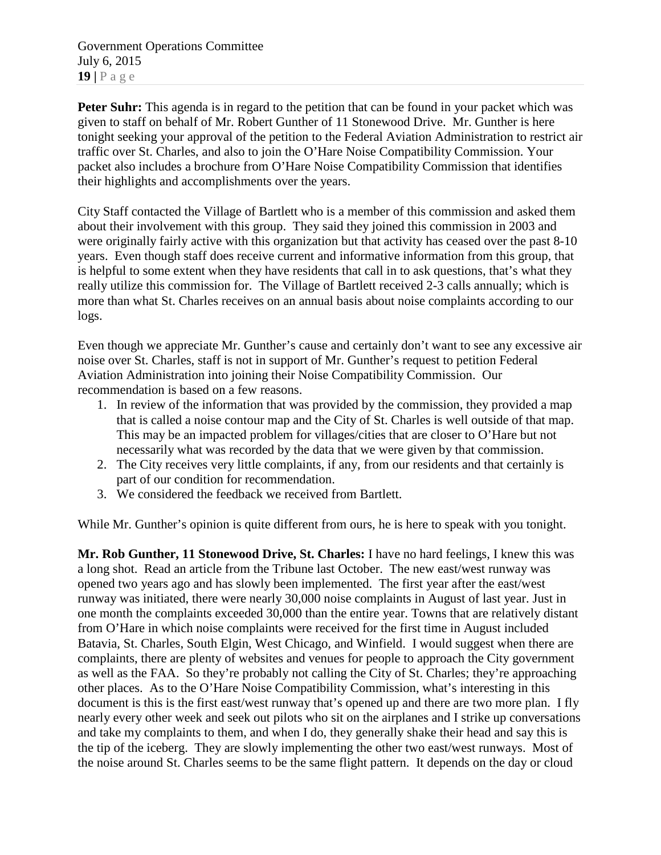Government Operations Committee July 6, 2015 **19 |** Page

**Peter Suhr:** This agenda is in regard to the petition that can be found in your packet which was given to staff on behalf of Mr. Robert Gunther of 11 Stonewood Drive. Mr. Gunther is here tonight seeking your approval of the petition to the Federal Aviation Administration to restrict air traffic over St. Charles, and also to join the O'Hare Noise Compatibility Commission. Your packet also includes a brochure from O'Hare Noise Compatibility Commission that identifies their highlights and accomplishments over the years.

City Staff contacted the Village of Bartlett who is a member of this commission and asked them about their involvement with this group. They said they joined this commission in 2003 and were originally fairly active with this organization but that activity has ceased over the past 8-10 years. Even though staff does receive current and informative information from this group, that is helpful to some extent when they have residents that call in to ask questions, that's what they really utilize this commission for. The Village of Bartlett received 2-3 calls annually; which is more than what St. Charles receives on an annual basis about noise complaints according to our logs.

Even though we appreciate Mr. Gunther's cause and certainly don't want to see any excessive air noise over St. Charles, staff is not in support of Mr. Gunther's request to petition Federal Aviation Administration into joining their Noise Compatibility Commission. Our recommendation is based on a few reasons.

- 1. In review of the information that was provided by the commission, they provided a map that is called a noise contour map and the City of St. Charles is well outside of that map. This may be an impacted problem for villages/cities that are closer to O'Hare but not necessarily what was recorded by the data that we were given by that commission.
- 2. The City receives very little complaints, if any, from our residents and that certainly is part of our condition for recommendation.
- 3. We considered the feedback we received from Bartlett.

While Mr. Gunther's opinion is quite different from ours, he is here to speak with you tonight.

**Mr. Rob Gunther, 11 Stonewood Drive, St. Charles:** I have no hard feelings, I knew this was a long shot. Read an article from the Tribune last October. The new east/west runway was opened two years ago and has slowly been implemented. The first year after the east/west runway was initiated, there were nearly 30,000 noise complaints in August of last year. Just in one month the complaints exceeded 30,000 than the entire year. Towns that are relatively distant from O'Hare in which noise complaints were received for the first time in August included Batavia, St. Charles, South Elgin, West Chicago, and Winfield. I would suggest when there are complaints, there are plenty of websites and venues for people to approach the City government as well as the FAA. So they're probably not calling the City of St. Charles; they're approaching other places. As to the O'Hare Noise Compatibility Commission, what's interesting in this document is this is the first east/west runway that's opened up and there are two more plan. I fly nearly every other week and seek out pilots who sit on the airplanes and I strike up conversations and take my complaints to them, and when I do, they generally shake their head and say this is the tip of the iceberg. They are slowly implementing the other two east/west runways. Most of the noise around St. Charles seems to be the same flight pattern. It depends on the day or cloud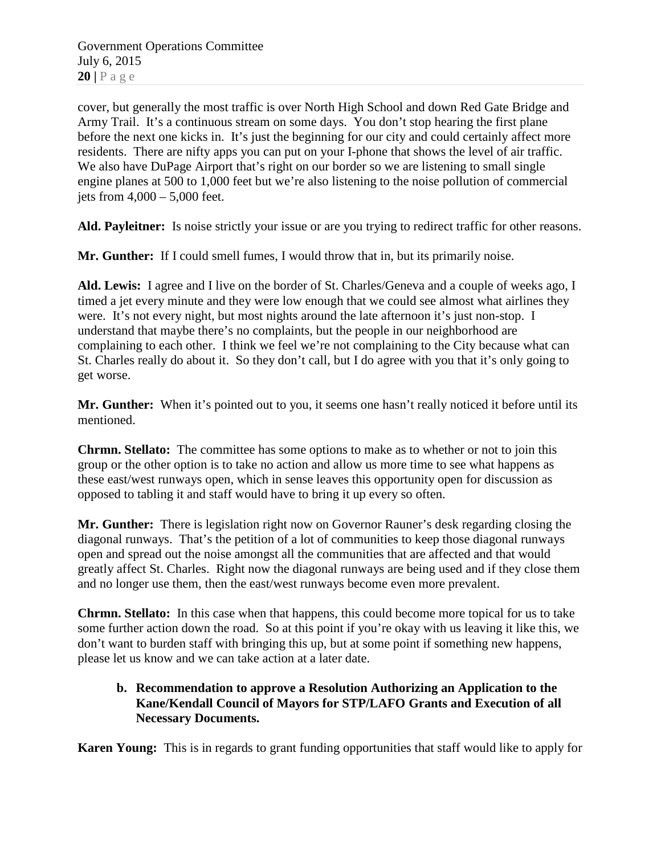Government Operations Committee July 6, 2015  $20$  |  $P$  a g e

cover, but generally the most traffic is over North High School and down Red Gate Bridge and Army Trail. It's a continuous stream on some days. You don't stop hearing the first plane before the next one kicks in. It's just the beginning for our city and could certainly affect more residents. There are nifty apps you can put on your I-phone that shows the level of air traffic. We also have DuPage Airport that's right on our border so we are listening to small single engine planes at 500 to 1,000 feet but we're also listening to the noise pollution of commercial jets from 4,000 – 5,000 feet.

**Ald. Payleitner:** Is noise strictly your issue or are you trying to redirect traffic for other reasons.

**Mr. Gunther:** If I could smell fumes, I would throw that in, but its primarily noise.

**Ald. Lewis:** I agree and I live on the border of St. Charles/Geneva and a couple of weeks ago, I timed a jet every minute and they were low enough that we could see almost what airlines they were. It's not every night, but most nights around the late afternoon it's just non-stop. I understand that maybe there's no complaints, but the people in our neighborhood are complaining to each other. I think we feel we're not complaining to the City because what can St. Charles really do about it. So they don't call, but I do agree with you that it's only going to get worse.

**Mr. Gunther:** When it's pointed out to you, it seems one hasn't really noticed it before until its mentioned.

**Chrmn. Stellato:** The committee has some options to make as to whether or not to join this group or the other option is to take no action and allow us more time to see what happens as these east/west runways open, which in sense leaves this opportunity open for discussion as opposed to tabling it and staff would have to bring it up every so often.

**Mr. Gunther:** There is legislation right now on Governor Rauner's desk regarding closing the diagonal runways. That's the petition of a lot of communities to keep those diagonal runways open and spread out the noise amongst all the communities that are affected and that would greatly affect St. Charles. Right now the diagonal runways are being used and if they close them and no longer use them, then the east/west runways become even more prevalent.

**Chrmn. Stellato:** In this case when that happens, this could become more topical for us to take some further action down the road. So at this point if you're okay with us leaving it like this, we don't want to burden staff with bringing this up, but at some point if something new happens, please let us know and we can take action at a later date.

# **b. Recommendation to approve a Resolution Authorizing an Application to the Kane/Kendall Council of Mayors for STP/LAFO Grants and Execution of all Necessary Documents.**

**Karen Young:** This is in regards to grant funding opportunities that staff would like to apply for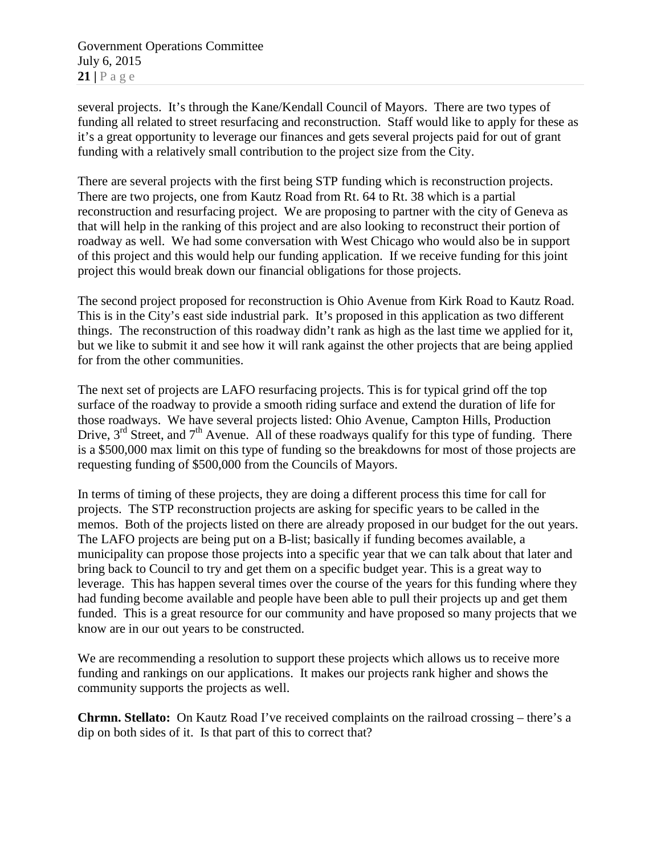Government Operations Committee July 6, 2015  $21$  |  $P$  a g e

several projects. It's through the Kane/Kendall Council of Mayors. There are two types of funding all related to street resurfacing and reconstruction. Staff would like to apply for these as it's a great opportunity to leverage our finances and gets several projects paid for out of grant funding with a relatively small contribution to the project size from the City.

There are several projects with the first being STP funding which is reconstruction projects. There are two projects, one from Kautz Road from Rt. 64 to Rt. 38 which is a partial reconstruction and resurfacing project. We are proposing to partner with the city of Geneva as that will help in the ranking of this project and are also looking to reconstruct their portion of roadway as well. We had some conversation with West Chicago who would also be in support of this project and this would help our funding application. If we receive funding for this joint project this would break down our financial obligations for those projects.

The second project proposed for reconstruction is Ohio Avenue from Kirk Road to Kautz Road. This is in the City's east side industrial park. It's proposed in this application as two different things. The reconstruction of this roadway didn't rank as high as the last time we applied for it, but we like to submit it and see how it will rank against the other projects that are being applied for from the other communities.

The next set of projects are LAFO resurfacing projects. This is for typical grind off the top surface of the roadway to provide a smooth riding surface and extend the duration of life for those roadways. We have several projects listed: Ohio Avenue, Campton Hills, Production Drive,  $3<sup>rd</sup>$  Street, and  $7<sup>th</sup>$  Avenue. All of these roadways qualify for this type of funding. There is a \$500,000 max limit on this type of funding so the breakdowns for most of those projects are requesting funding of \$500,000 from the Councils of Mayors.

In terms of timing of these projects, they are doing a different process this time for call for projects. The STP reconstruction projects are asking for specific years to be called in the memos. Both of the projects listed on there are already proposed in our budget for the out years. The LAFO projects are being put on a B-list; basically if funding becomes available, a municipality can propose those projects into a specific year that we can talk about that later and bring back to Council to try and get them on a specific budget year. This is a great way to leverage. This has happen several times over the course of the years for this funding where they had funding become available and people have been able to pull their projects up and get them funded. This is a great resource for our community and have proposed so many projects that we know are in our out years to be constructed.

We are recommending a resolution to support these projects which allows us to receive more funding and rankings on our applications. It makes our projects rank higher and shows the community supports the projects as well.

**Chrmn. Stellato:** On Kautz Road I've received complaints on the railroad crossing – there's a dip on both sides of it. Is that part of this to correct that?